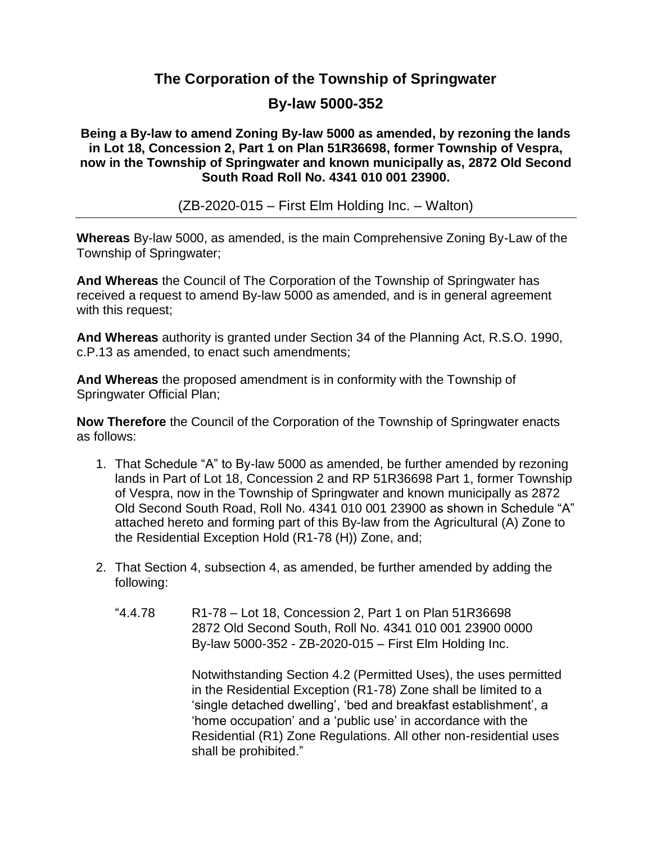## **The Corporation of the Township of Springwater**

## **By-law 5000-352**

**Being a By-law to amend Zoning By-law 5000 as amended, by rezoning the lands in Lot 18, Concession 2, Part 1 on Plan 51R36698, former Township of Vespra, now in the Township of Springwater and known municipally as, 2872 Old Second South Road Roll No. 4341 010 001 23900.**

(ZB-2020-015 – First Elm Holding Inc. – Walton)

**Whereas** By-law 5000, as amended, is the main Comprehensive Zoning By-Law of the Township of Springwater;

**And Whereas** the Council of The Corporation of the Township of Springwater has received a request to amend By-law 5000 as amended, and is in general agreement with this request;

**And Whereas** authority is granted under Section 34 of the Planning Act, R.S.O. 1990, c.P.13 as amended, to enact such amendments;

**And Whereas** the proposed amendment is in conformity with the Township of Springwater Official Plan;

**Now Therefore** the Council of the Corporation of the Township of Springwater enacts as follows:

- 1. That Schedule "A" to By-law 5000 as amended, be further amended by rezoning lands in Part of Lot 18, Concession 2 and RP 51R36698 Part 1, former Township of Vespra, now in the Township of Springwater and known municipally as 2872 Old Second South Road, Roll No. 4341 010 001 23900 as shown in Schedule "A" attached hereto and forming part of this By-law from the Agricultural (A) Zone to the Residential Exception Hold (R1-78 (H)) Zone, and;
- 2. That Section 4, subsection 4, as amended, be further amended by adding the following:
	- "4.4.78 R1-78 Lot 18, Concession 2, Part 1 on Plan 51R36698 2872 Old Second South, Roll No. 4341 010 001 23900 0000 By-law 5000-352 - ZB-2020-015 – First Elm Holding Inc.

Notwithstanding Section 4.2 (Permitted Uses), the uses permitted in the Residential Exception (R1-78) Zone shall be limited to a 'single detached dwelling', 'bed and breakfast establishment', a 'home occupation' and a 'public use' in accordance with the Residential (R1) Zone Regulations. All other non-residential uses shall be prohibited."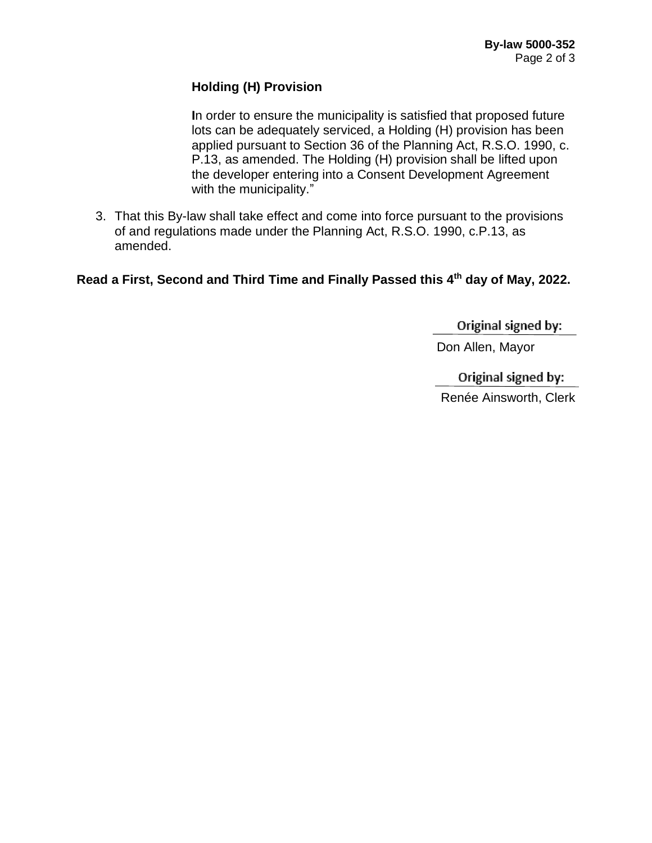#### **Holding (H) Provision**

**I**n order to ensure the municipality is satisfied that proposed future lots can be adequately serviced, a Holding (H) provision has been applied pursuant to Section 36 of the Planning Act, R.S.O. 1990, c. P.13, as amended. The Holding (H) provision shall be lifted upon the developer entering into a Consent Development Agreement with the municipality."

3. That this By-law shall take effect and come into force pursuant to the provisions of and regulations made under the Planning Act, R.S.O. 1990, c.P.13, as amended.

**Read a First, Second and Third Time and Finally Passed this 4 th day of May, 2022.**

Original signed by:

Don Allen, Mayor

Original signed by: Renée Ainsworth, Clerk